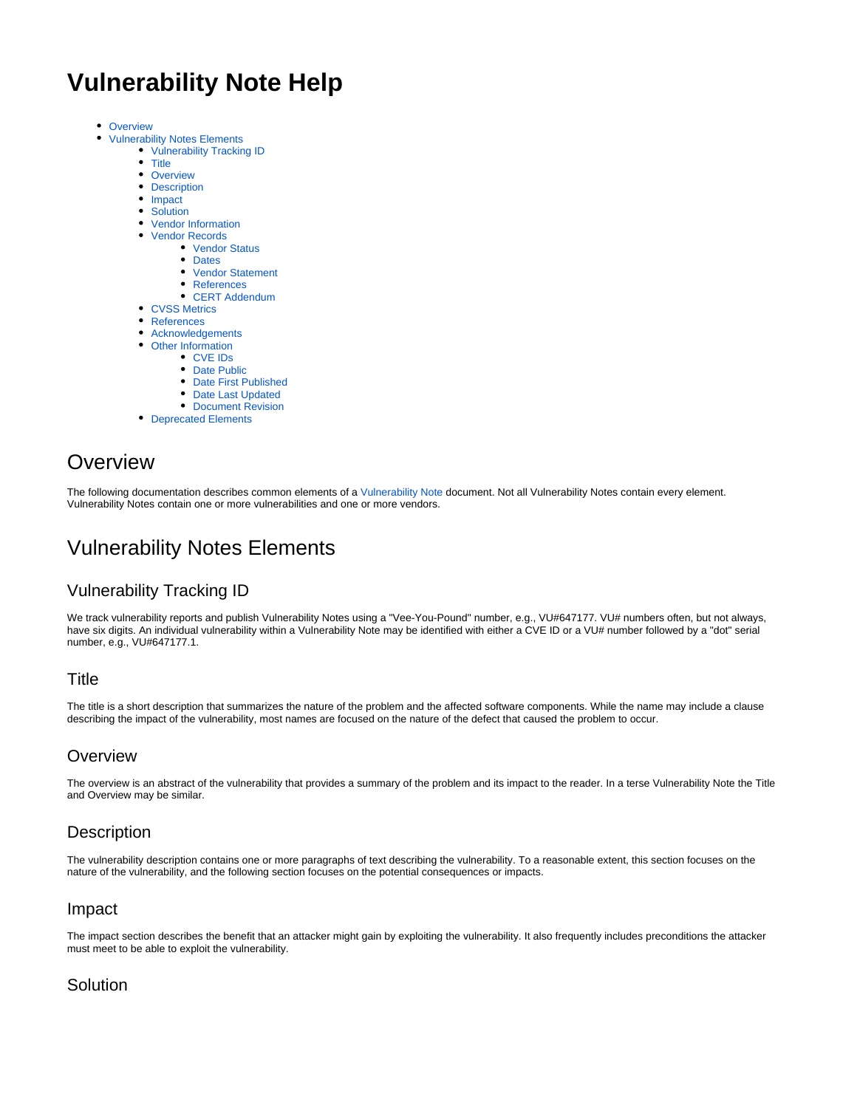# **Vulnerability Note Help**

- [Overview](#page-0-0)  $\bullet$ 
	- [Vulnerability Notes Elements](#page-0-1)
	- [Vulnerability Tracking ID](#page-0-2)
		- [Title](#page-0-3)
		- [Overview](#page-0-4)
		- [Description](#page-0-5)
		- [Impact](#page-0-6)
		- [Solution](#page-0-7)
		- [Vendor Information](#page-1-0)
		- [Vendor Records](#page-1-1)
			- [Vendor Status](#page-1-2)
				- [Dates](#page-1-3)
				- [Vendor Statement](#page-1-4)
			- [References](#page-2-0)
			- [CERT Addendum](#page-2-1)
		- [CVSS Metrics](#page-2-2)
		- [References](#page-2-3)
		- [Acknowledgements](#page-2-4)
		- [Other Information](#page-2-5)
			- [CVE IDs](#page-2-6)
			- [Date Public](#page-2-7)
			- [Date First Published](#page-2-8)
			- [Date Last Updated](#page-2-9)
			- [Document Revision](#page-2-10)
		- [Deprecated Elements](#page-2-11)

# <span id="page-0-0"></span>**Overview**

The following documentation describes common elements of a [Vulnerability Note](https://kb.cert.org/vuls/) document. Not all Vulnerability Notes contain every element. Vulnerability Notes contain one or more vulnerabilities and one or more vendors.

# <span id="page-0-1"></span>Vulnerability Notes Elements

# <span id="page-0-2"></span>Vulnerability Tracking ID

We track vulnerability reports and publish Vulnerability Notes using a "Vee-You-Pound" number, e.g., VU#647177. VU# numbers often, but not always, have six digits. An individual vulnerability within a Vulnerability Note may be identified with either a CVE ID or a VU# number followed by a "dot" serial number, e.g., VU#647177.1.

## <span id="page-0-3"></span>**Title**

The title is a short description that summarizes the nature of the problem and the affected software components. While the name may include a clause describing the impact of the vulnerability, most names are focused on the nature of the defect that caused the problem to occur.

# <span id="page-0-4"></span>**Overview**

The overview is an abstract of the vulnerability that provides a summary of the problem and its impact to the reader. In a terse Vulnerability Note the Title and Overview may be similar.

# <span id="page-0-5"></span>**Description**

The vulnerability description contains one or more paragraphs of text describing the vulnerability. To a reasonable extent, this section focuses on the nature of the vulnerability, and the following section focuses on the potential consequences or impacts.

## <span id="page-0-6"></span>Impact

The impact section describes the benefit that an attacker might gain by exploiting the vulnerability. It also frequently includes preconditions the attacker must meet to be able to exploit the vulnerability.

# <span id="page-0-7"></span>**Solution**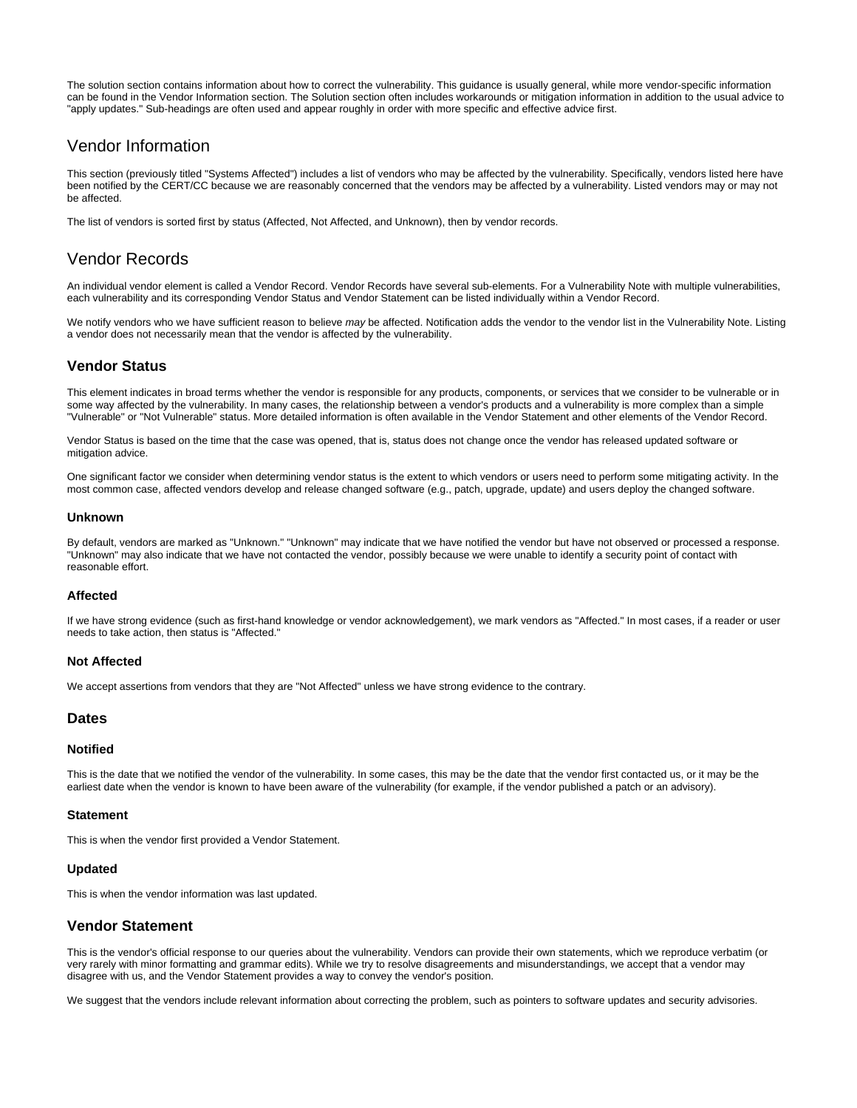The solution section contains information about how to correct the vulnerability. This guidance is usually general, while more vendor-specific information can be found in the Vendor Information section. The Solution section often includes workarounds or mitigation information in addition to the usual advice to "apply updates." Sub-headings are often used and appear roughly in order with more specific and effective advice first.

# <span id="page-1-0"></span>Vendor Information

This section (previously titled "Systems Affected") includes a list of vendors who may be affected by the vulnerability. Specifically, vendors listed here have been notified by the CERT/CC because we are reasonably concerned that the vendors may be affected by a vulnerability. Listed vendors may or may not be affected.

The list of vendors is sorted first by status (Affected, Not Affected, and Unknown), then by vendor records.

# <span id="page-1-1"></span>Vendor Records

An individual vendor element is called a Vendor Record. Vendor Records have several sub-elements. For a Vulnerability Note with multiple vulnerabilities, each vulnerability and its corresponding Vendor Status and Vendor Statement can be listed individually within a Vendor Record.

We notify vendors who we have sufficient reason to believe may be affected. Notification adds the vendor to the vendor list in the Vulnerability Note. Listing a vendor does not necessarily mean that the vendor is affected by the vulnerability.

## <span id="page-1-2"></span>**Vendor Status**

This element indicates in broad terms whether the vendor is responsible for any products, components, or services that we consider to be vulnerable or in some way affected by the vulnerability. In many cases, the relationship between a vendor's products and a vulnerability is more complex than a simple "Vulnerable" or "Not Vulnerable" status. More detailed information is often available in the Vendor Statement and other elements of the Vendor Record.

Vendor Status is based on the time that the case was opened, that is, status does not change once the vendor has released updated software or mitigation advice.

One significant factor we consider when determining vendor status is the extent to which vendors or users need to perform some mitigating activity. In the most common case, affected vendors develop and release changed software (e.g., patch, upgrade, update) and users deploy the changed software.

#### **Unknown**

By default, vendors are marked as "Unknown." "Unknown" may indicate that we have notified the vendor but have not observed or processed a response. "Unknown" may also indicate that we have not contacted the vendor, possibly because we were unable to identify a security point of contact with reasonable effort.

#### **Affected**

If we have strong evidence (such as first-hand knowledge or vendor acknowledgement), we mark vendors as "Affected." In most cases, if a reader or user needs to take action, then status is "Affected."

#### **Not Affected**

We accept assertions from vendors that they are "Not Affected" unless we have strong evidence to the contrary.

#### <span id="page-1-3"></span>**Dates**

#### **Notified**

This is the date that we notified the vendor of the vulnerability. In some cases, this may be the date that the vendor first contacted us, or it may be the earliest date when the vendor is known to have been aware of the vulnerability (for example, if the vendor published a patch or an advisory).

#### **Statement**

This is when the vendor first provided a Vendor Statement.

#### **Updated**

This is when the vendor information was last updated.

## <span id="page-1-4"></span>**Vendor Statement**

This is the vendor's official response to our queries about the vulnerability. Vendors can provide their own statements, which we reproduce verbatim (or very rarely with minor formatting and grammar edits). While we try to resolve disagreements and misunderstandings, we accept that a vendor may disagree with us, and the Vendor Statement provides a way to convey the vendor's position.

We suggest that the vendors include relevant information about correcting the problem, such as pointers to software updates and security advisories.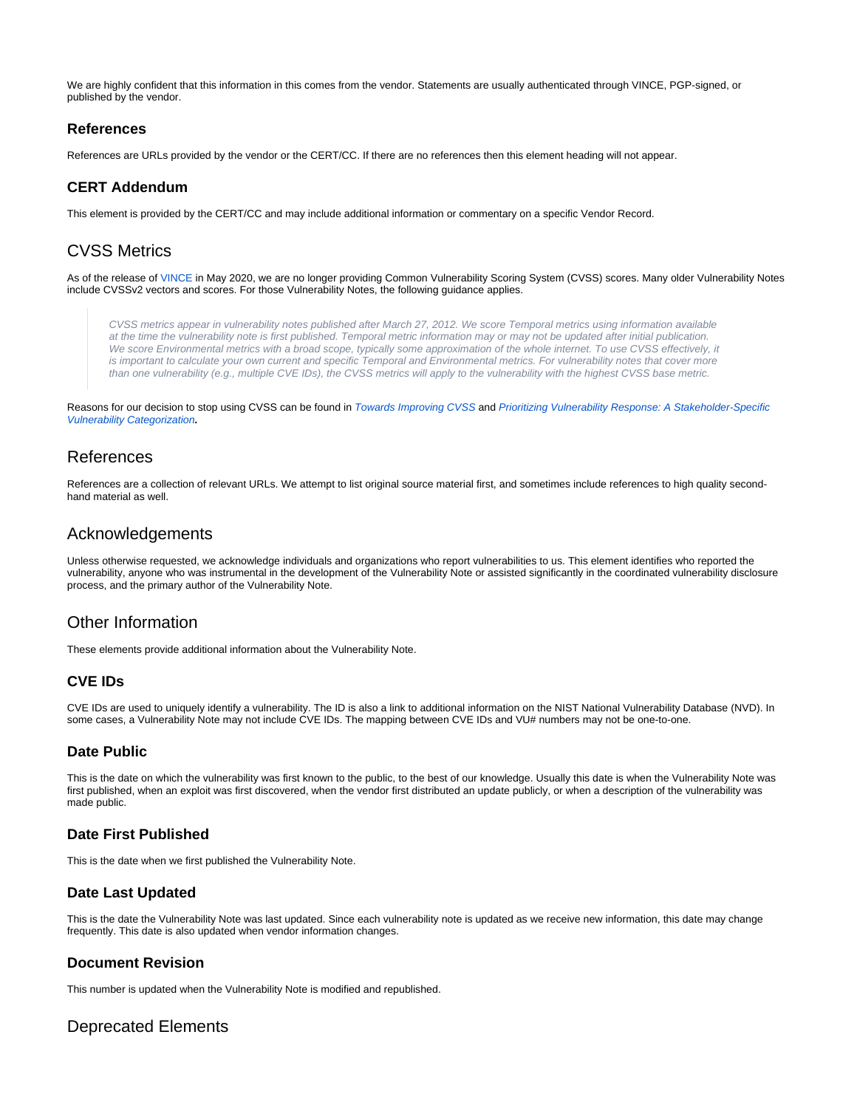We are highly confident that this information in this comes from the vendor. Statements are usually authenticated through VINCE, PGP-signed, or published by the vendor.

## <span id="page-2-0"></span>**References**

References are URLs provided by the vendor or the CERT/CC. If there are no references then this element heading will not appear.

## <span id="page-2-1"></span>**CERT Addendum**

This element is provided by the CERT/CC and may include additional information or commentary on a specific Vendor Record.

# <span id="page-2-2"></span>CVSS Metrics

As of the release of [VINCE](https://kb.cert.org/vince/) in May 2020, we are no longer providing Common Vulnerability Scoring System (CVSS) scores. Many older Vulnerability Notes include CVSSv2 vectors and scores. For those Vulnerability Notes, the following guidance applies.

CVSS metrics appear in vulnerability notes published after March 27, 2012. We score Temporal metrics using information available at the time the vulnerability note is first published. Temporal metric information may or may not be updated after initial publication. We score Environmental metrics with a broad scope, typically some approximation of the whole internet. To use CVSS effectively, it is important to calculate your own current and specific Temporal and Environmental metrics. For vulnerability notes that cover more than one vulnerability (e.g., multiple CVE IDs), the CVSS metrics will apply to the vulnerability with the highest CVSS base metric.

Reasons for our decision to stop using CVSS can be found in [Towards Improving CVSS](https://resources.sei.cmu.edu/library/asset-view.cfm?assetID=538368) and Prioritizing Vulnerability Response: A Stakeholder-Specific [Vulnerability Categorization](https://resources.sei.cmu.edu/library/asset-view.cfm?assetID=636379)**.**

## <span id="page-2-3"></span>References

References are a collection of relevant URLs. We attempt to list original source material first, and sometimes include references to high quality secondhand material as well.

## <span id="page-2-4"></span>Acknowledgements

Unless otherwise requested, we acknowledge individuals and organizations who report vulnerabilities to us. This element identifies who reported the vulnerability, anyone who was instrumental in the development of the Vulnerability Note or assisted significantly in the coordinated vulnerability disclosure process, and the primary author of the Vulnerability Note.

# <span id="page-2-5"></span>Other Information

These elements provide additional information about the Vulnerability Note.

## <span id="page-2-6"></span>**CVE IDs**

CVE IDs are used to uniquely identify a vulnerability. The ID is also a link to additional information on the NIST National Vulnerability Database (NVD). In some cases, a Vulnerability Note may not include CVE IDs. The mapping between CVE IDs and VU# numbers may not be one-to-one.

## <span id="page-2-7"></span>**Date Public**

This is the date on which the vulnerability was first known to the public, to the best of our knowledge. Usually this date is when the Vulnerability Note was first published, when an exploit was first discovered, when the vendor first distributed an update publicly, or when a description of the vulnerability was made public.

## <span id="page-2-8"></span>**Date First Published**

This is the date when we first published the Vulnerability Note.

## <span id="page-2-9"></span>**Date Last Updated**

This is the date the Vulnerability Note was last updated. Since each vulnerability note is updated as we receive new information, this date may change frequently. This date is also updated when vendor information changes.

## <span id="page-2-10"></span>**Document Revision**

This number is updated when the Vulnerability Note is modified and republished.

# <span id="page-2-11"></span>Deprecated Elements